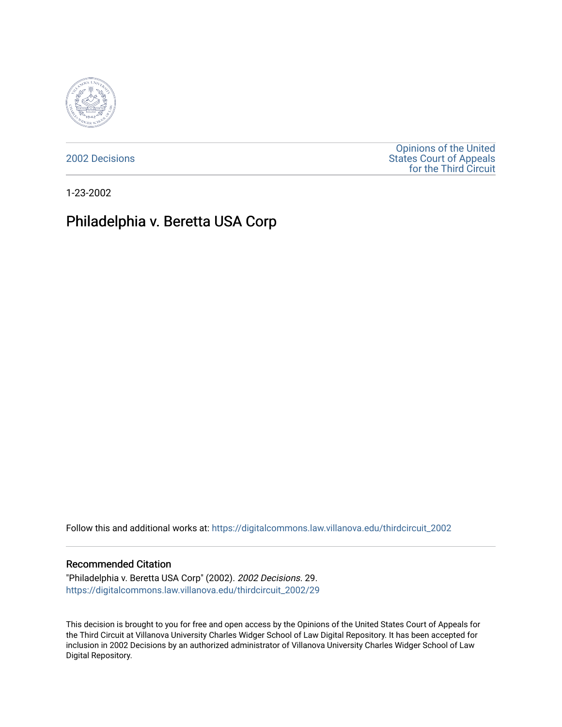

[2002 Decisions](https://digitalcommons.law.villanova.edu/thirdcircuit_2002)

[Opinions of the United](https://digitalcommons.law.villanova.edu/thirdcircuit)  [States Court of Appeals](https://digitalcommons.law.villanova.edu/thirdcircuit)  [for the Third Circuit](https://digitalcommons.law.villanova.edu/thirdcircuit) 

1-23-2002

## Philadelphia v. Beretta USA Corp

Follow this and additional works at: [https://digitalcommons.law.villanova.edu/thirdcircuit\\_2002](https://digitalcommons.law.villanova.edu/thirdcircuit_2002?utm_source=digitalcommons.law.villanova.edu%2Fthirdcircuit_2002%2F29&utm_medium=PDF&utm_campaign=PDFCoverPages) 

## Recommended Citation

"Philadelphia v. Beretta USA Corp" (2002). 2002 Decisions. 29. [https://digitalcommons.law.villanova.edu/thirdcircuit\\_2002/29](https://digitalcommons.law.villanova.edu/thirdcircuit_2002/29?utm_source=digitalcommons.law.villanova.edu%2Fthirdcircuit_2002%2F29&utm_medium=PDF&utm_campaign=PDFCoverPages)

This decision is brought to you for free and open access by the Opinions of the United States Court of Appeals for the Third Circuit at Villanova University Charles Widger School of Law Digital Repository. It has been accepted for inclusion in 2002 Decisions by an authorized administrator of Villanova University Charles Widger School of Law Digital Repository.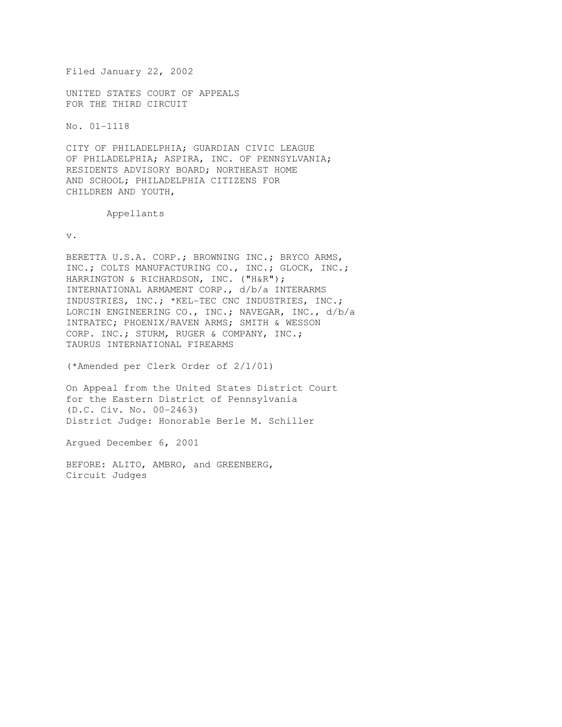Filed January 22, 2002 UNITED STATES COURT OF APPEALS FOR THE THIRD CIRCUIT

No. 01-1118

CITY OF PHILADELPHIA; GUARDIAN CIVIC LEAGUE OF PHILADELPHIA; ASPIRA, INC. OF PENNSYLVANIA; RESIDENTS ADVISORY BOARD; NORTHEAST HOME AND SCHOOL; PHILADELPHIA CITIZENS FOR CHILDREN AND YOUTH,

Appellants

v.

BERETTA U.S.A. CORP.; BROWNING INC.; BRYCO ARMS, INC.; COLTS MANUFACTURING CO., INC.; GLOCK, INC.; HARRINGTON & RICHARDSON, INC. ("H&R"); INTERNATIONAL ARMAMENT CORP., d/b/a INTERARMS INDUSTRIES, INC.; \*KEL-TEC CNC INDUSTRIES, INC.; LORCIN ENGINEERING CO., INC.; NAVEGAR, INC., d/b/a INTRATEC; PHOENIX/RAVEN ARMS; SMITH & WESSON CORP. INC.; STURM, RUGER & COMPANY, INC.; TAURUS INTERNATIONAL FIREARMS

(\*Amended per Clerk Order of 2/1/01)

On Appeal from the United States District Court for the Eastern District of Pennsylvania (D.C. Civ. No. 00-2463) District Judge: Honorable Berle M. Schiller

Argued December 6, 2001

BEFORE: ALITO, AMBRO, and GREENBERG, Circuit Judges